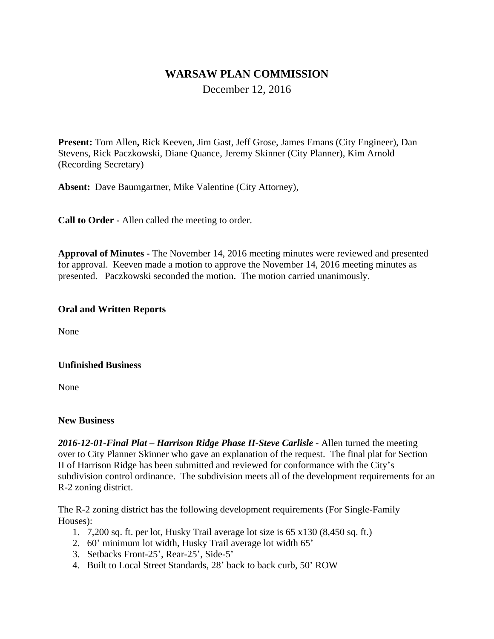# **WARSAW PLAN COMMISSION**

December 12, 2016

**Present:** Tom Allen**,** Rick Keeven, Jim Gast, Jeff Grose, James Emans (City Engineer), Dan Stevens, Rick Paczkowski, Diane Quance, Jeremy Skinner (City Planner), Kim Arnold (Recording Secretary)

**Absent:** Dave Baumgartner, Mike Valentine (City Attorney),

**Call to Order -** Allen called the meeting to order.

**Approval of Minutes -** The November 14, 2016 meeting minutes were reviewed and presented for approval. Keeven made a motion to approve the November 14, 2016 meeting minutes as presented. Paczkowski seconded the motion. The motion carried unanimously.

### **Oral and Written Reports**

None

#### **Unfinished Business**

None

#### **New Business**

*2016-12-01-Final Plat – Harrison Ridge Phase II-Steve Carlisle -* Allen turned the meeting over to City Planner Skinner who gave an explanation of the request. The final plat for Section II of Harrison Ridge has been submitted and reviewed for conformance with the City's subdivision control ordinance. The subdivision meets all of the development requirements for an R-2 zoning district.

The R-2 zoning district has the following development requirements (For Single-Family Houses):

- 1. 7,200 sq. ft. per lot, Husky Trail average lot size is 65 x130 (8,450 sq. ft.)
- 2. 60' minimum lot width, Husky Trail average lot width 65'
- 3. Setbacks Front-25', Rear-25', Side-5'
- 4. Built to Local Street Standards, 28' back to back curb, 50' ROW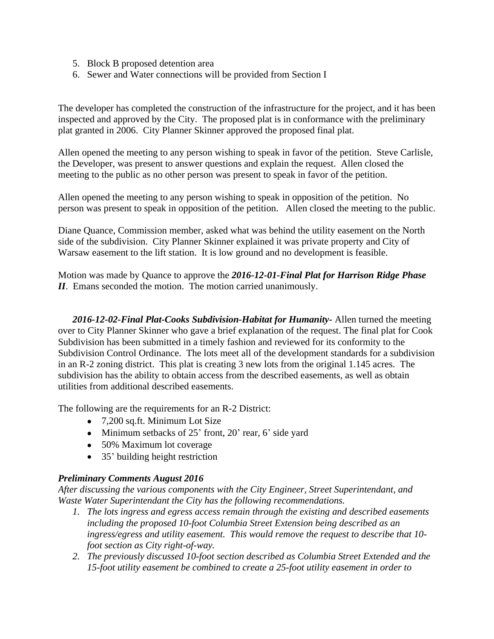- 5. Block B proposed detention area
- 6. Sewer and Water connections will be provided from Section I

The developer has completed the construction of the infrastructure for the project, and it has been inspected and approved by the City. The proposed plat is in conformance with the preliminary plat granted in 2006. City Planner Skinner approved the proposed final plat.

Allen opened the meeting to any person wishing to speak in favor of the petition. Steve Carlisle, the Developer, was present to answer questions and explain the request. Allen closed the meeting to the public as no other person was present to speak in favor of the petition.

Allen opened the meeting to any person wishing to speak in opposition of the petition. No person was present to speak in opposition of the petition. Allen closed the meeting to the public.

Diane Quance, Commission member, asked what was behind the utility easement on the North side of the subdivision. City Planner Skinner explained it was private property and City of Warsaw easement to the lift station. It is low ground and no development is feasible.

Motion was made by Quance to approve the *2016-12-01-Final Plat for Harrison Ridge Phase II*. Emans seconded the motion. The motion carried unanimously.

*2016-12-02-Final Plat-Cooks Subdivision-Habitat for Humanity-* Allen turned the meeting over to City Planner Skinner who gave a brief explanation of the request. The final plat for Cook Subdivision has been submitted in a timely fashion and reviewed for its conformity to the Subdivision Control Ordinance. The lots meet all of the development standards for a subdivision in an R-2 zoning district. This plat is creating 3 new lots from the original 1.145 acres. The subdivision has the ability to obtain access from the described easements, as well as obtain utilities from additional described easements.

The following are the requirements for an R-2 District:

- 7,200 sq.ft. Minimum Lot Size
- Minimum setbacks of 25' front, 20' rear, 6' side yard
- 50% Maximum lot coverage
- 35' building height restriction

### *Preliminary Comments August 2016*

*After discussing the various components with the City Engineer, Street Superintendant, and Waste Water Superintendant the City has the following recommendations.*

- *1. The lots ingress and egress access remain through the existing and described easements including the proposed 10-foot Columbia Street Extension being described as an ingress/egress and utility easement. This would remove the request to describe that 10 foot section as City right-of-way.*
- *2. The previously discussed 10-foot section described as Columbia Street Extended and the 15-foot utility easement be combined to create a 25-foot utility easement in order to*